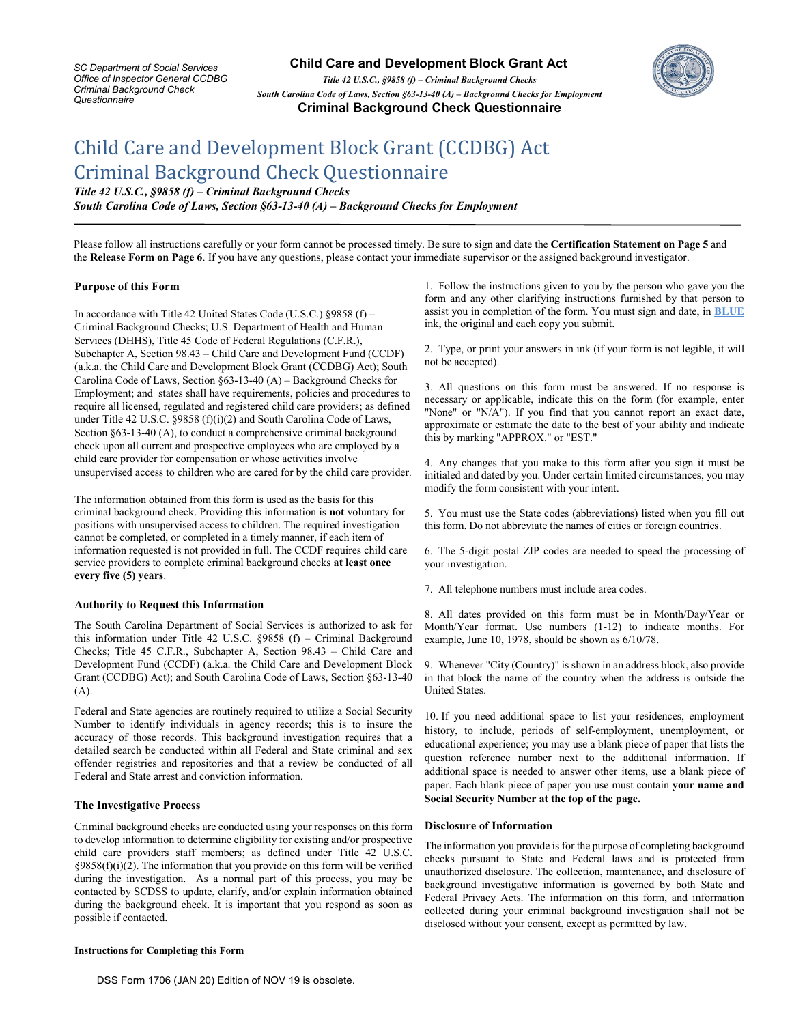*SC Department of Social Services Office of Inspector General CCDBG Criminal Background Check Questionnaire* 

 **Child Care and Development Block Grant Act**

*Title 42 U.S.C., §9858 (f) – Criminal Background Checks* *South Carolina Code of Laws, Section §63-13-40 (A) – Background Checks for Employment* **Criminal Background Check Questionnaire**



# Child Care and Development Block Grant (CCDBG) Act Criminal Background Check Questionnaire

*Title 42 U.S.C., §9858 (f) – Criminal Background Checks* *South Carolina Code of Laws, Section §63-13-40 (A) – Background Checks for Employment*

Please follow all instructions carefully or your form cannot be processed timely. Be sure to sign and date the **Certification Statement on Page 5** and the **Release Form on Page 6**. If you have any questions, please contact your immediate supervisor or the assigned background investigator.

## **Purpose of this Form**

In accordance with Title 42 United States Code (U.S.C.) §9858 (f) – Criminal Background Checks; U.S. Department of Health and Human Services (DHHS), Title 45 Code of Federal Regulations (C.F.R.), Subchapter A, Section 98.43 – Child Care and Development Fund (CCDF) (a.k.a. the Child Care and Development Block Grant (CCDBG) Act); South Carolina Code of Laws, Section §63-13-40 (A) – Background Checks for Employment; and states shall have requirements, policies and procedures to require all licensed, regulated and registered child care providers; as defined under Title 42 U.S.C. §9858 (f)(i)(2) and South Carolina Code of Laws, Section §63-13-40 (A), to conduct a comprehensive criminal background check upon all current and prospective employees who are employed by a child care provider for compensation or whose activities involve unsupervised access to children who are cared for by the child care provider.

The information obtained from this form is used as the basis for this criminal background check. Providing this information is **not** voluntary for positions with unsupervised access to children. The required investigation cannot be completed, or completed in a timely manner, if each item of information requested is not provided in full. The CCDF requires child care service providers to complete criminal background checks **at least once every five (5) years**.

### **Authority to Request this Information**

The South Carolina Department of Social Services is authorized to ask for this information under Title 42 U.S.C. §9858 (f) – Criminal Background Checks; Title 45 C.F.R., Subchapter A, Section 98.43 – Child Care and Development Fund (CCDF) (a.k.a. the Child Care and Development Block Grant (CCDBG) Act); and South Carolina Code of Laws, Section §63-13-40 (A).

Federal and State agencies are routinely required to utilize a Social Security Number to identify individuals in agency records; this is to insure the accuracy of those records. This background investigation requires that a detailed search be conducted within all Federal and State criminal and sex offender registries and repositories and that a review be conducted of all Federal and State arrest and conviction information.

### **The Investigative Process**

Criminal background checks are conducted using your responses on this form to develop information to determine eligibility for existing and/or prospective child care providers staff members; as defined under Title 42 U.S.C.  $§9858(f)(i)(2)$ . The information that you provide on this form will be verified during the investigation. As a normal part of this process, you may be contacted by SCDSS to update, clarify, and/or explain information obtained during the background check. It is important that you respond as soon as possible if contacted.

#### **Instructions for Completing this Form**

1. Follow the instructions given to you by the person who gave you the form and any other clarifying instructions furnished by that person to assist you in completion of the form. You must sign and date, in **BLUE** ink, the original and each copy you submit.

2. Type, or print your answers in ink (if your form is not legible, it will not be accepted).

3. All questions on this form must be answered. If no response is necessary or applicable, indicate this on the form (for example, enter "None" or "N/A"). If you find that you cannot report an exact date, approximate or estimate the date to the best of your ability and indicate this by marking "APPROX." or "EST."

4. Any changes that you make to this form after you sign it must be initialed and dated by you. Under certain limited circumstances, you may modify the form consistent with your intent.

5. You must use the State codes (abbreviations) listed when you fill out this form. Do not abbreviate the names of cities or foreign countries.

6. The 5-digit postal ZIP codes are needed to speed the processing of your investigation.

7. All telephone numbers must include area codes.

8. All dates provided on this form must be in Month/Day/Year or Month/Year format. Use numbers (1-12) to indicate months. For example, June 10, 1978, should be shown as 6/10/78.

9. Whenever "City (Country)" is shown in an address block, also provide in that block the name of the country when the address is outside the United States.

10. If you need additional space to list your residences, employment history, to include, periods of self-employment, unemployment, or educational experience; you may use a blank piece of paper that lists the question reference number next to the additional information. If additional space is needed to answer other items, use a blank piece of paper. Each blank piece of paper you use must contain **your name and Social Security Number at the top of the page.**

### **Disclosure of Information**

The information you provide is for the purpose of completing background checks pursuant to State and Federal laws and is protected from unauthorized disclosure. The collection, maintenance, and disclosure of background investigative information is governed by both State and Federal Privacy Acts. The information on this form, and information collected during your criminal background investigation shall not be disclosed without your consent, except as permitted by law.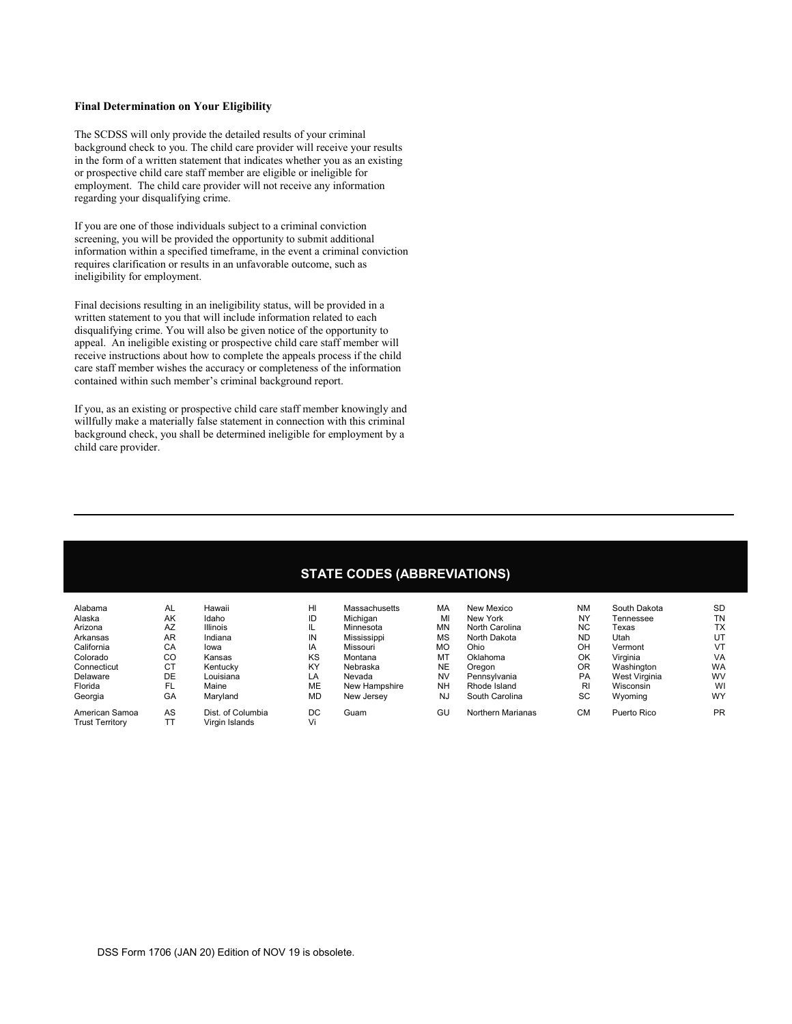## **Final Determination on Your Eligibility**

The SCDSS will only provide the detailed results of your criminal background check to you. The child care provider will receive your results in the form of a written statement that indicates whether you as an existing or prospective child care staff member are eligible or ineligible for employment. The child care provider will not receive any information regarding your disqualifying crime.

If you are one of those individuals subject to a criminal conviction screening, you will be provided the opportunity to submit additional information within a specified timeframe, in the event a criminal conviction requires clarification or results in an unfavorable outcome, such as ineligibility for employment.

Final decisions resulting in an ineligibility status, will be provided in a written statement to you that will include information related to each disqualifying crime. You will also be given notice of the opportunity to appeal. An ineligible existing or prospective child care staff member will receive instructions about how to complete the appeals process if the child care staff member wishes the accuracy or completeness of the information contained within such member's criminal background report.

If you, as an existing or prospective child care staff member knowingly and willfully make a materially false statement in connection with this criminal background check, you shall be determined ineligible for employment by a child care provider.

## **STATE CODES (ABBREVIATIONS)**

| Alabama                | AL | Hawaii            | HI        | Massachusetts | MA        | New Mexico        | <b>NM</b>      | South Dakota  | <b>SD</b> |
|------------------------|----|-------------------|-----------|---------------|-----------|-------------------|----------------|---------------|-----------|
| Alaska                 | AK | Idaho             | ID        | Michigan      | MI        | New York          | NY             | Tennessee     | <b>TN</b> |
| Arizona                | AZ | <b>Illinois</b>   | IL        | Minnesota     | <b>MN</b> | North Carolina    | <b>NC</b>      | Texas         | <b>TX</b> |
| Arkansas               | AR | Indiana           | IN        | Mississippi   | <b>MS</b> | North Dakota      | <b>ND</b>      | Utah          | UT        |
| California             | CA | lowa              | IA        | Missouri      | <b>MO</b> | Ohio              | OH             | Vermont       | VT        |
| Colorado               | CO | Kansas            | KS        | Montana       | MT        | Oklahoma          | OK             | Virginia      | VA        |
| Connecticut            | СT | Kentucky          | KY        | Nebraska      | <b>NE</b> | Oregon            | 0 <sub>R</sub> | Washington    | WA        |
| Delaware               | DE | Louisiana         | LA        | Nevada        | <b>NV</b> | Pennsylvania      | <b>PA</b>      | West Virginia | <b>WV</b> |
| Florida                | FL | Maine             | <b>ME</b> | New Hampshire | <b>NH</b> | Rhode Island      | R <sub>l</sub> | Wisconsin     | WI        |
| Georgia                | GA | Maryland          | <b>MD</b> | New Jersey    | <b>NJ</b> | South Carolina    | SC             | Wyoming       | <b>WY</b> |
| American Samoa         | AS | Dist. of Columbia | DC        | Guam          | GU        | Northern Marianas | <b>CM</b>      | Puerto Rico   | <b>PR</b> |
| <b>Trust Territory</b> | TT | Virgin Islands    | Vi        |               |           |                   |                |               |           |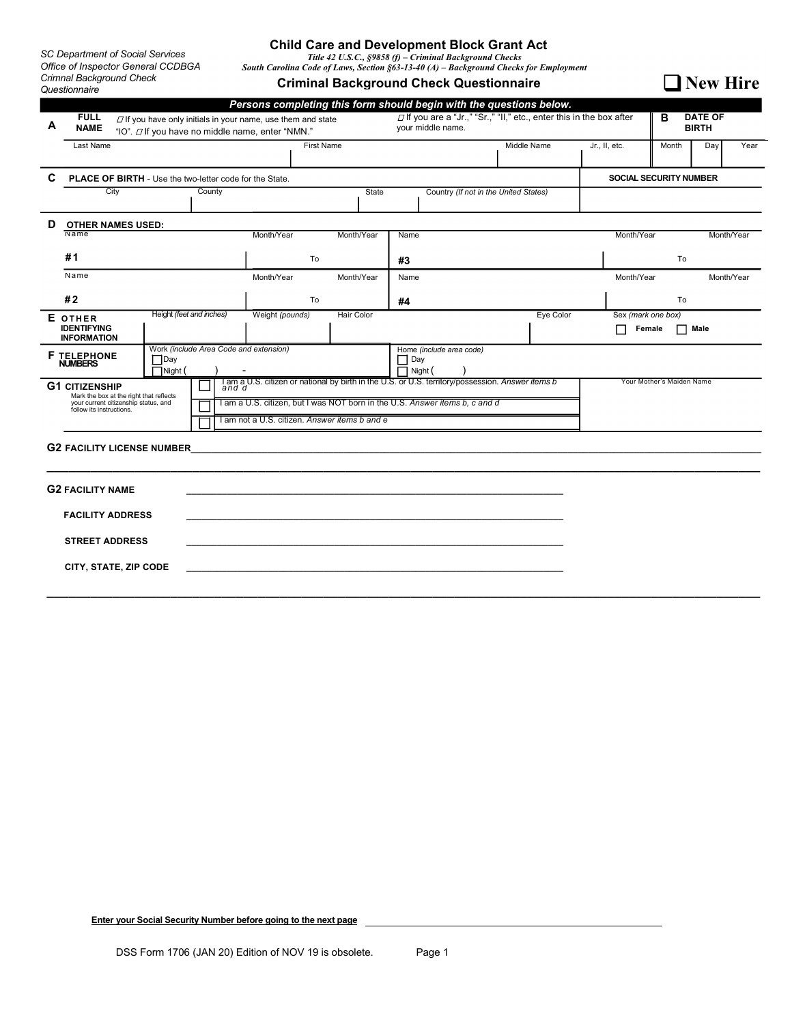*SC Department of Social Services Office of Inspector General CCDBGA Crimnal Background Check Questionnaire* 

# **Child Care and Development Block Grant Act** *Title 42 U.S.C., §9858 (f) – Criminal Background Checks* *South Carolina Code of Laws, Section §63-13-40 (A) – Background Checks for Employment*

**Criminal Background Check Questionnaire**

□ New Hire

|                                                                                                                                                                            |                                                                  |                                                                                                                                                                                                                                |                          |        |                                                                                                   |                 |  |            |                               |                          |                                     |             | Persons completing this form should begin with the questions below. |            |                              |      |            |
|----------------------------------------------------------------------------------------------------------------------------------------------------------------------------|------------------------------------------------------------------|--------------------------------------------------------------------------------------------------------------------------------------------------------------------------------------------------------------------------------|--------------------------|--------|---------------------------------------------------------------------------------------------------|-----------------|--|------------|-------------------------------|--------------------------|-------------------------------------|-------------|---------------------------------------------------------------------|------------|------------------------------|------|------------|
| А                                                                                                                                                                          | <b>FULL</b><br><b>NAME</b>                                       | $\Box$ If you are a "Jr.," "Sr.," "II," etc., enter this in the box after<br>$\Box$ If you have only initials in your name, use them and state<br>your middle name.<br>"IO". <i>D</i> If you have no middle name, enter "NMN." |                          |        |                                                                                                   |                 |  |            |                               |                          | <b>DATE OF</b><br>B<br><b>BIRTH</b> |             |                                                                     |            |                              |      |            |
|                                                                                                                                                                            | Last Name                                                        |                                                                                                                                                                                                                                | First Name               |        |                                                                                                   |                 |  |            |                               |                          |                                     | Middle Name | Jr., II, etc.                                                       | Month      | Day                          | Year |            |
| C<br><b>PLACE OF BIRTH - Use the two-letter code for the State.</b>                                                                                                        |                                                                  |                                                                                                                                                                                                                                |                          |        |                                                                                                   |                 |  |            | <b>SOCIAL SECURITY NUMBER</b> |                          |                                     |             |                                                                     |            |                              |      |            |
|                                                                                                                                                                            | City                                                             |                                                                                                                                                                                                                                |                          | County |                                                                                                   |                 |  |            | State                         |                          |                                     |             | Country (If not in the United States)                               |            |                              |      |            |
| D                                                                                                                                                                          | <b>OTHER NAMES USED:</b>                                         |                                                                                                                                                                                                                                |                          |        |                                                                                                   |                 |  |            |                               |                          |                                     |             |                                                                     |            |                              |      |            |
|                                                                                                                                                                            | Name                                                             |                                                                                                                                                                                                                                |                          |        |                                                                                                   | Month/Year      |  | Month/Year |                               | Name                     |                                     |             |                                                                     | Month/Year |                              |      | Month/Year |
|                                                                                                                                                                            | #1                                                               |                                                                                                                                                                                                                                |                          |        | To                                                                                                |                 |  | #3         |                               |                          | To                                  |             |                                                                     |            |                              |      |            |
|                                                                                                                                                                            | Name                                                             |                                                                                                                                                                                                                                |                          |        | Month/Year<br>Month/Year<br>Name                                                                  |                 |  |            |                               | Month/Year<br>Month/Year |                                     |             |                                                                     |            |                              |      |            |
|                                                                                                                                                                            | #2                                                               |                                                                                                                                                                                                                                |                          |        |                                                                                                   | To              |  |            | #4                            |                          |                                     |             |                                                                     | To         |                              |      |            |
|                                                                                                                                                                            | E OTHER<br><b>IDENTIFYING</b><br><b>INFORMATION</b>              |                                                                                                                                                                                                                                | Height (feet and inches) |        |                                                                                                   | Weight (pounds) |  | Hair Color |                               |                          |                                     |             | Eye Color                                                           |            | Sex (mark one box)<br>Female | Male |            |
| Work (include Area Code and extension)<br>Home (include area code)<br><b>F TELEPHONE</b><br>$\Box$ Day<br>$\Box$ Day<br><b>NUMBERS</b><br>$\Box$ Night (<br>$\Box$ Night ( |                                                                  |                                                                                                                                                                                                                                |                          |        |                                                                                                   |                 |  |            |                               |                          |                                     |             |                                                                     |            |                              |      |            |
| <b>G1 CITIZENSHIP</b><br>Mark the box at the right that reflects                                                                                                           |                                                                  |                                                                                                                                                                                                                                |                          |        | I am a U.S. citizen or national by birth in the U.S. or U.S. territory/possession. Answer items b |                 |  |            |                               |                          | Your Mother's Maiden Name           |             |                                                                     |            |                              |      |            |
|                                                                                                                                                                            | your current citizenship status, and<br>follow its instructions. |                                                                                                                                                                                                                                |                          |        | am a U.S. citizen, but I was NOT born in the U.S. Answer items b, c and d                         |                 |  |            |                               |                          |                                     |             |                                                                     |            |                              |      |            |
|                                                                                                                                                                            |                                                                  |                                                                                                                                                                                                                                |                          |        | I am not a U.S. citizen. Answer items b and e                                                     |                 |  |            |                               |                          |                                     |             |                                                                     |            |                              |      |            |
|                                                                                                                                                                            | <b>G2 FACILITY LICENSE NUMBER</b>                                |                                                                                                                                                                                                                                |                          |        |                                                                                                   |                 |  |            |                               |                          |                                     |             |                                                                     |            |                              |      |            |
|                                                                                                                                                                            | <b>G2 FACILITY NAME</b>                                          |                                                                                                                                                                                                                                |                          |        |                                                                                                   |                 |  |            |                               |                          |                                     |             |                                                                     |            |                              |      |            |
|                                                                                                                                                                            | <b>FACILITY ADDRESS</b>                                          |                                                                                                                                                                                                                                |                          |        |                                                                                                   |                 |  |            |                               |                          |                                     |             |                                                                     |            |                              |      |            |
| <b>STREET ADDRESS</b>                                                                                                                                                      |                                                                  |                                                                                                                                                                                                                                |                          |        |                                                                                                   |                 |  |            |                               |                          |                                     |             |                                                                     |            |                              |      |            |
|                                                                                                                                                                            | CITY, STATE, ZIP CODE                                            |                                                                                                                                                                                                                                |                          |        |                                                                                                   |                 |  |            |                               |                          |                                     |             |                                                                     |            |                              |      |            |
|                                                                                                                                                                            |                                                                  |                                                                                                                                                                                                                                |                          |        |                                                                                                   |                 |  |            |                               |                          |                                     |             |                                                                     |            |                              |      |            |

**Enter your Social Security Number before going to the next page**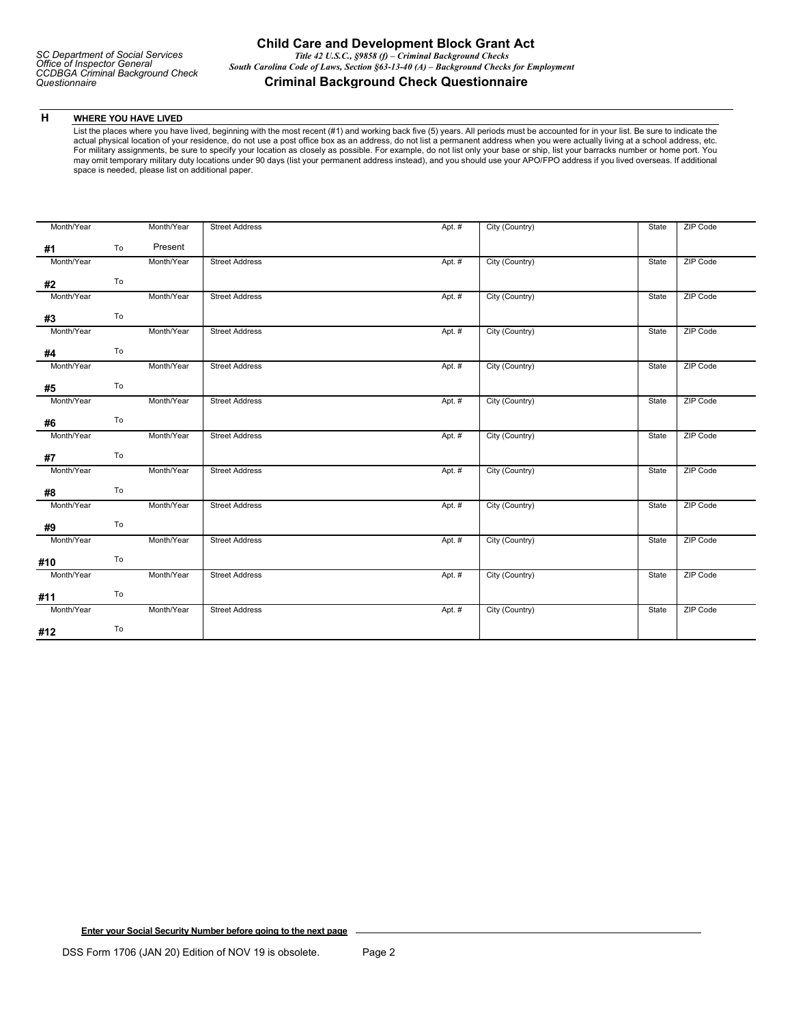## **H WHERE YOU HAVE LIVED**

List the places where you have lived, beginning with the most recent (#1) and working back five (5) years. All periods must be accounted for in your list. Be sure to indicate the<br>actual physical location of your residence, For military assignments, be sure to specify your location as closely as possible. For example, do not list only your base or ship, list your barracks number or home port. You may omit temporary military duty locations under 90 days (list your permanent address instead), and you should use your APO/FPO address if you lived overseas. If additional space is needed, please list on additional paper.

| Month/Year |    | Month/Year | <b>Street Address</b> | Apt. # | City (Country) | State | <b>ZIP Code</b> |
|------------|----|------------|-----------------------|--------|----------------|-------|-----------------|
| #1         | To | Present    |                       |        |                |       |                 |
| Month/Year |    | Month/Year | <b>Street Address</b> | Apt. # | City (Country) | State | <b>ZIP Code</b> |
| #2         | To |            |                       |        |                |       |                 |
| Month/Year |    | Month/Year | <b>Street Address</b> | Apt. # | City (Country) | State | ZIP Code        |
| #3         | To |            |                       |        |                |       |                 |
| Month/Year |    | Month/Year | <b>Street Address</b> | Apt. # | City (Country) | State | <b>ZIP Code</b> |
| #4         | To |            |                       |        |                |       |                 |
| Month/Year |    | Month/Year | <b>Street Address</b> | Apt. # | City (Country) | State | ZIP Code        |
| #5         | To |            |                       |        |                |       |                 |
| Month/Year |    | Month/Year | <b>Street Address</b> | Apt. # | City (Country) | State | <b>ZIP Code</b> |
| #6         | To |            |                       |        |                |       |                 |
| Month/Year |    | Month/Year | <b>Street Address</b> | Apt. # | City (Country) | State | ZIP Code        |
| #7         | To |            |                       |        |                |       |                 |
| Month/Year |    | Month/Year | <b>Street Address</b> | Apt. # | City (Country) | State | ZIP Code        |
| #8         | To |            |                       |        |                |       |                 |
| Month/Year |    | Month/Year | <b>Street Address</b> | Apt. # | City (Country) | State | <b>ZIP Code</b> |
| #9         | To |            |                       |        |                |       |                 |
| Month/Year |    | Month/Year | <b>Street Address</b> | Apt. # | City (Country) | State | <b>ZIP Code</b> |
| #10        | To |            |                       |        |                |       |                 |
| Month/Year |    | Month/Year | <b>Street Address</b> | Apt. # | City (Country) | State | ZIP Code        |
| #11        | To |            |                       |        |                |       |                 |
| Month/Year |    | Month/Year | <b>Street Address</b> | Apt. # | City (Country) | State | ZIP Code        |
| #12        | To |            |                       |        |                |       |                 |

**Enter your Social Security Number before going to the next page**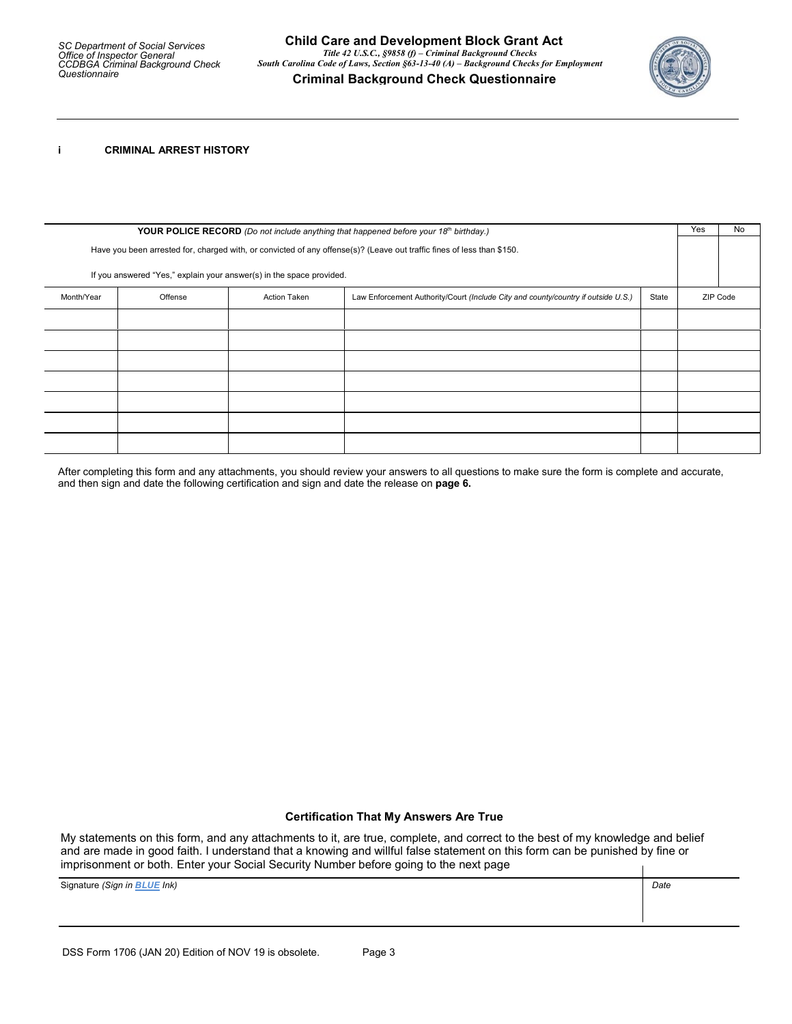

**i CRIMINAL ARREST HISTORY** 

| YOUR POLICE RECORD (Do not include anything that happened before your 18th birthday.)                                  |                                                                                                                              |  |  |  |  |  |  |
|------------------------------------------------------------------------------------------------------------------------|------------------------------------------------------------------------------------------------------------------------------|--|--|--|--|--|--|
| Have you been arrested for, charged with, or convicted of any offense(s)? (Leave out traffic fines of less than \$150. |                                                                                                                              |  |  |  |  |  |  |
| If you answered "Yes," explain your answer(s) in the space provided.                                                   |                                                                                                                              |  |  |  |  |  |  |
| Month/Year                                                                                                             | Offense<br>Law Enforcement Authority/Court (Include City and county/country if outside U.S.)<br><b>Action Taken</b><br>State |  |  |  |  |  |  |
|                                                                                                                        |                                                                                                                              |  |  |  |  |  |  |
|                                                                                                                        |                                                                                                                              |  |  |  |  |  |  |
|                                                                                                                        |                                                                                                                              |  |  |  |  |  |  |
|                                                                                                                        |                                                                                                                              |  |  |  |  |  |  |
|                                                                                                                        |                                                                                                                              |  |  |  |  |  |  |
|                                                                                                                        |                                                                                                                              |  |  |  |  |  |  |
|                                                                                                                        |                                                                                                                              |  |  |  |  |  |  |

After completing this form and any attachments, you should review your answers to all questions to make sure the form is complete and accurate, and then sign and date the following certification and sign and date the release on **page 6.**

## **Certification That My Answers Are True**

My statements on this form, and any attachments to it, are true, complete, and correct to the best of my knowledge and belief and are made in good faith. I understand that a knowing and willful false statement on this form can be punished by fine or imprisonment or both. Enter your Social Security Number before going to the next page

Signature *(Sign in BLUE Ink) Date*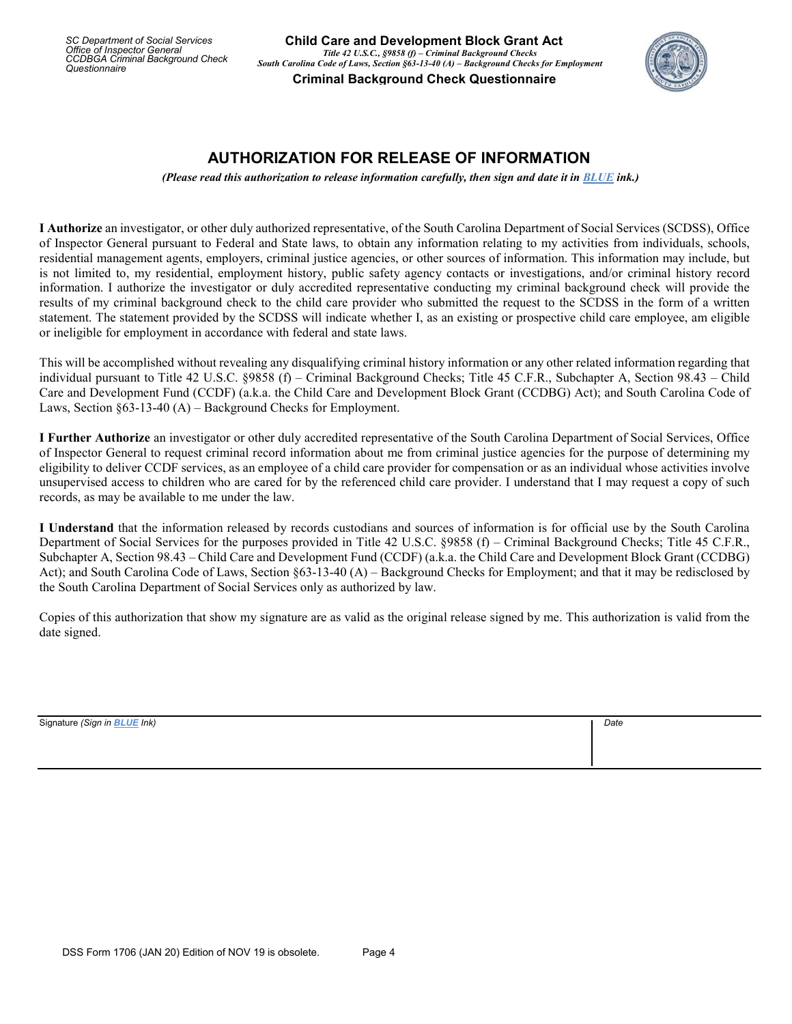*SC Department of Social Services Office of Inspector General CCDBGA Criminal Background Check Questionnaire* 



## **AUTHORIZATION FOR RELEASE OF INFORMATION**

*(Please read this authorization to release information carefully, then sign and date it in BLUE ink.)*

**I Authorize** an investigator, or other duly authorized representative, of the South Carolina Department of Social Services (SCDSS), Office of Inspector General pursuant to Federal and State laws, to obtain any information relating to my activities from individuals, schools, residential management agents, employers, criminal justice agencies, or other sources of information. This information may include, but is not limited to, my residential, employment history, public safety agency contacts or investigations, and/or criminal history record information. I authorize the investigator or duly accredited representative conducting my criminal background check will provide the results of my criminal background check to the child care provider who submitted the request to the SCDSS in the form of a written statement. The statement provided by the SCDSS will indicate whether I, as an existing or prospective child care employee, am eligible or ineligible for employment in accordance with federal and state laws.

This will be accomplished without revealing any disqualifying criminal history information or any other related information regarding that individual pursuant to Title 42 U.S.C. §9858 (f) – Criminal Background Checks; Title 45 C.F.R., Subchapter A, Section 98.43 – Child Care and Development Fund (CCDF) (a.k.a. the Child Care and Development Block Grant (CCDBG) Act); and South Carolina Code of Laws, Section §63-13-40 (A) – Background Checks for Employment.

**I Further Authorize** an investigator or other duly accredited representative of the South Carolina Department of Social Services, Office of Inspector General to request criminal record information about me from criminal justice agencies for the purpose of determining my eligibility to deliver CCDF services, as an employee of a child care provider for compensation or as an individual whose activities involve unsupervised access to children who are cared for by the referenced child care provider. I understand that I may request a copy of such records, as may be available to me under the law.

**I Understand** that the information released by records custodians and sources of information is for official use by the South Carolina Department of Social Services for the purposes provided in Title 42 U.S.C. §9858 (f) – Criminal Background Checks; Title 45 C.F.R., Subchapter A, Section 98.43 – Child Care and Development Fund (CCDF) (a.k.a. the Child Care and Development Block Grant (CCDBG) Act); and South Carolina Code of Laws, Section §63-13-40 (A) – Background Checks for Employment; and that it may be redisclosed by the South Carolina Department of Social Services only as authorized by law.

Copies of this authorization that show my signature are as valid as the original release signed by me. This authorization is valid from the date signed.

Signature *(Sign in BLUE Ink) Date*